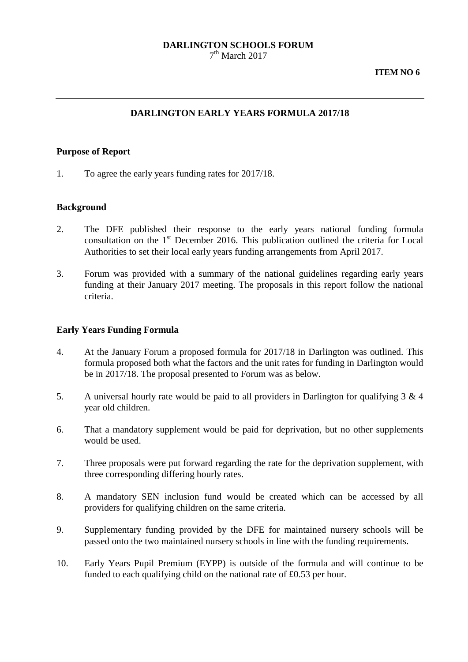## **DARLINGTON SCHOOLS FORUM**  $7<sup>th</sup>$  March 2017

# **DARLINGTON EARLY YEARS FORMULA 2017/18**

#### **Purpose of Report**

1. To agree the early years funding rates for 2017/18.

## **Background**

- 2. The DFE published their response to the early years national funding formula consultation on the 1<sup>st</sup> December 2016. This publication outlined the criteria for Local Authorities to set their local early years funding arrangements from April 2017.
- 3. Forum was provided with a summary of the national guidelines regarding early years funding at their January 2017 meeting. The proposals in this report follow the national criteria.

#### **Early Years Funding Formula**

- 4. At the January Forum a proposed formula for 2017/18 in Darlington was outlined. This formula proposed both what the factors and the unit rates for funding in Darlington would be in 2017/18. The proposal presented to Forum was as below.
- 5. A universal hourly rate would be paid to all providers in Darlington for qualifying 3 & 4 year old children.
- 6. That a mandatory supplement would be paid for deprivation, but no other supplements would be used.
- 7. Three proposals were put forward regarding the rate for the deprivation supplement, with three corresponding differing hourly rates.
- 8. A mandatory SEN inclusion fund would be created which can be accessed by all providers for qualifying children on the same criteria.
- 9. Supplementary funding provided by the DFE for maintained nursery schools will be passed onto the two maintained nursery schools in line with the funding requirements.
- 10. Early Years Pupil Premium (EYPP) is outside of the formula and will continue to be funded to each qualifying child on the national rate of £0.53 per hour.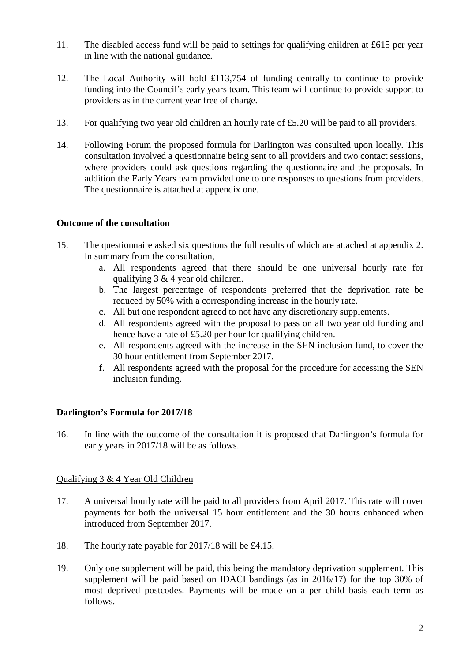- 11. The disabled access fund will be paid to settings for qualifying children at £615 per year in line with the national guidance.
- 12. The Local Authority will hold £113,754 of funding centrally to continue to provide funding into the Council's early years team. This team will continue to provide support to providers as in the current year free of charge.
- 13. For qualifying two year old children an hourly rate of £5.20 will be paid to all providers.
- 14. Following Forum the proposed formula for Darlington was consulted upon locally. This consultation involved a questionnaire being sent to all providers and two contact sessions, where providers could ask questions regarding the questionnaire and the proposals. In addition the Early Years team provided one to one responses to questions from providers. The questionnaire is attached at appendix one.

# **Outcome of the consultation**

- 15. The questionnaire asked six questions the full results of which are attached at appendix 2. In summary from the consultation,
	- a. All respondents agreed that there should be one universal hourly rate for qualifying 3 & 4 year old children.
	- b. The largest percentage of respondents preferred that the deprivation rate be reduced by 50% with a corresponding increase in the hourly rate.
	- c. All but one respondent agreed to not have any discretionary supplements.
	- d. All respondents agreed with the proposal to pass on all two year old funding and hence have a rate of £5.20 per hour for qualifying children.
	- e. All respondents agreed with the increase in the SEN inclusion fund, to cover the 30 hour entitlement from September 2017.
	- f. All respondents agreed with the proposal for the procedure for accessing the SEN inclusion funding.

# **Darlington's Formula for 2017/18**

16. In line with the outcome of the consultation it is proposed that Darlington's formula for early years in 2017/18 will be as follows.

# Qualifying 3 & 4 Year Old Children

- 17. A universal hourly rate will be paid to all providers from April 2017. This rate will cover payments for both the universal 15 hour entitlement and the 30 hours enhanced when introduced from September 2017.
- 18. The hourly rate payable for 2017/18 will be £4.15.
- 19. Only one supplement will be paid, this being the mandatory deprivation supplement. This supplement will be paid based on IDACI bandings (as in 2016/17) for the top 30% of most deprived postcodes. Payments will be made on a per child basis each term as follows.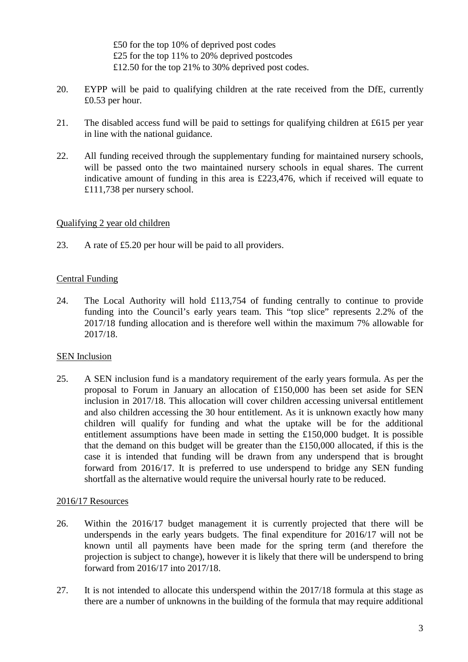£50 for the top 10% of deprived post codes £25 for the top 11% to 20% deprived postcodes £12.50 for the top 21% to 30% deprived post codes.

- 20. EYPP will be paid to qualifying children at the rate received from the DfE, currently £0.53 per hour.
- 21. The disabled access fund will be paid to settings for qualifying children at £615 per year in line with the national guidance.
- 22. All funding received through the supplementary funding for maintained nursery schools, will be passed onto the two maintained nursery schools in equal shares. The current indicative amount of funding in this area is £223,476, which if received will equate to £111,738 per nursery school.

## Qualifying 2 year old children

23. A rate of £5.20 per hour will be paid to all providers.

## Central Funding

24. The Local Authority will hold £113,754 of funding centrally to continue to provide funding into the Council's early years team. This "top slice" represents 2.2% of the 2017/18 funding allocation and is therefore well within the maximum 7% allowable for 2017/18.

# SEN Inclusion

25. A SEN inclusion fund is a mandatory requirement of the early years formula. As per the proposal to Forum in January an allocation of £150,000 has been set aside for SEN inclusion in 2017/18. This allocation will cover children accessing universal entitlement and also children accessing the 30 hour entitlement. As it is unknown exactly how many children will qualify for funding and what the uptake will be for the additional entitlement assumptions have been made in setting the £150,000 budget. It is possible that the demand on this budget will be greater than the £150,000 allocated, if this is the case it is intended that funding will be drawn from any underspend that is brought forward from 2016/17. It is preferred to use underspend to bridge any SEN funding shortfall as the alternative would require the universal hourly rate to be reduced.

## 2016/17 Resources

- 26. Within the 2016/17 budget management it is currently projected that there will be underspends in the early years budgets. The final expenditure for 2016/17 will not be known until all payments have been made for the spring term (and therefore the projection is subject to change), however it is likely that there will be underspend to bring forward from 2016/17 into 2017/18.
- 27. It is not intended to allocate this underspend within the 2017/18 formula at this stage as there are a number of unknowns in the building of the formula that may require additional